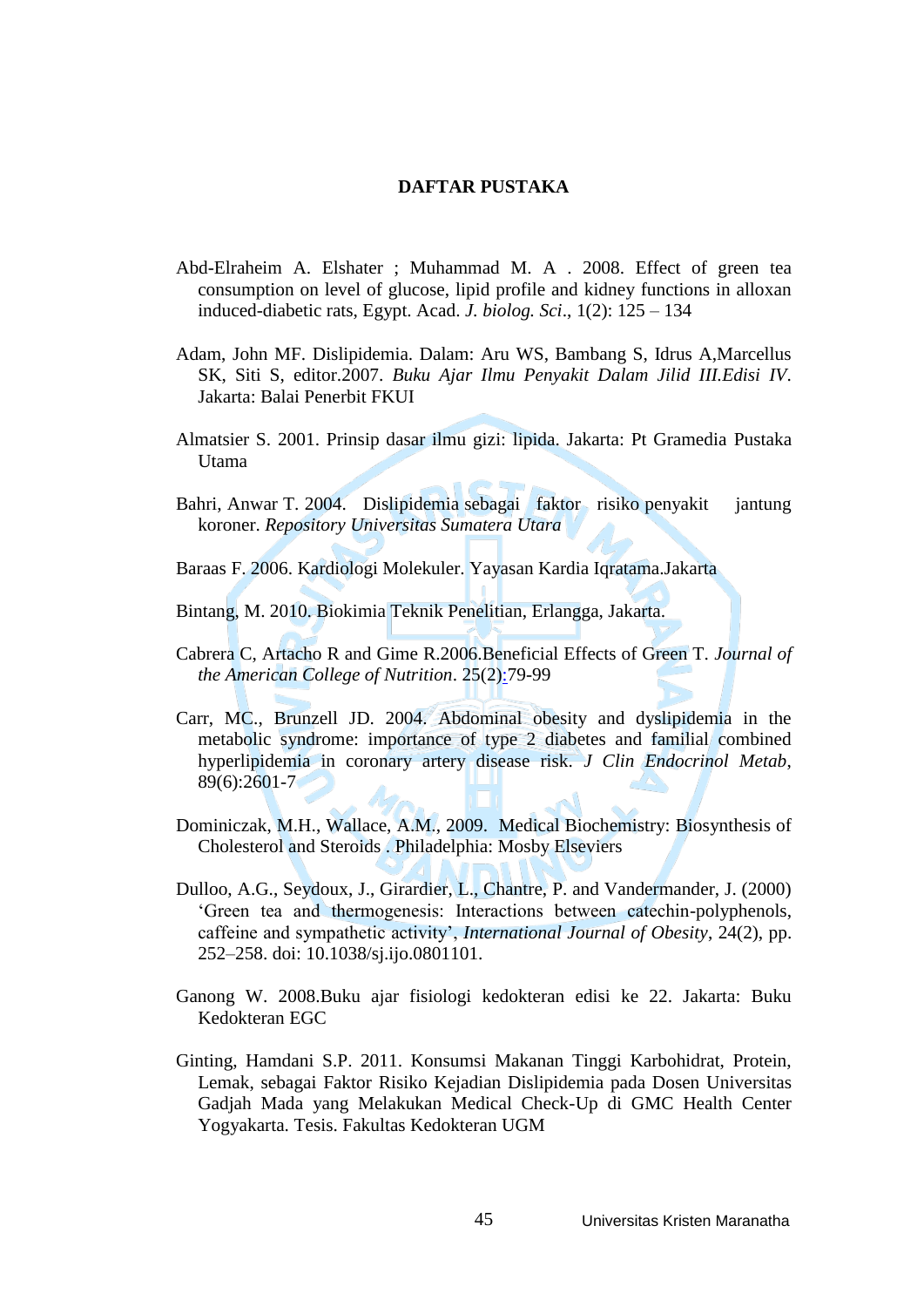## **DAFTAR PUSTAKA**

- Abd-Elraheim A. Elshater ; Muhammad M. A . 2008. Effect of green tea consumption on level of glucose, lipid profile and kidney functions in alloxan induced-diabetic rats, Egypt. Acad. *J. biolog. Sci*., 1(2): 125 – 134
- Adam, John MF. Dislipidemia. Dalam: Aru WS, Bambang S, Idrus A,Marcellus SK, Siti S, editor.2007. *Buku Ajar Ilmu Penyakit Dalam Jilid III.Edisi IV*. Jakarta: Balai Penerbit FKUI
- Almatsier S. 2001. Prinsip dasar ilmu gizi: lipida. Jakarta: Pt Gramedia Pustaka Utama
- Bahri, Anwar T. 2004. Dislipidemia sebagai faktor risiko penyakit jantung koroner. *Repository Universitas Sumatera Utara*
- Baraas F. 2006. Kardiologi Molekuler. Yayasan Kardia Iqratama.Jakarta
- Bintang, M. 2010. Biokimia Teknik Penelitian, Erlangga, Jakarta.
- Cabrera C, Artacho R and Gime R.2006.Beneficial Effects of Green T. *Journal of the American College of Nutrition*. 25(2):79-99
- Carr, MC., Brunzell JD. 2004. Abdominal obesity and dyslipidemia in the metabolic syndrome: importance of type 2 diabetes and familial combined hyperlipidemia in coronary artery disease risk. *J Clin Endocrinol Metab*, 89(6):2601-7
- Dominiczak, M.H., Wallace, A.M., 2009. Medical Biochemistry: Biosynthesis of Cholesterol and Steroids . Philadelphia: Mosby Elseviers
- Dulloo, A.G., Seydoux, J., Girardier, L., Chantre, P. and Vandermander, J. (2000) 'Green tea and thermogenesis: Interactions between catechin-polyphenols, caffeine and sympathetic activity', *International Journal of Obesity*, 24(2), pp. 252–258. doi: 10.1038/sj.ijo.0801101.
- Ganong W. 2008.Buku ajar fisiologi kedokteran edisi ke 22. Jakarta: Buku Kedokteran EGC
- Ginting, Hamdani S.P. 2011. Konsumsi Makanan Tinggi Karbohidrat, Protein, Lemak, sebagai Faktor Risiko Kejadian Dislipidemia pada Dosen Universitas Gadjah Mada yang Melakukan Medical Check-Up di GMC Health Center Yogyakarta. Tesis. Fakultas Kedokteran UGM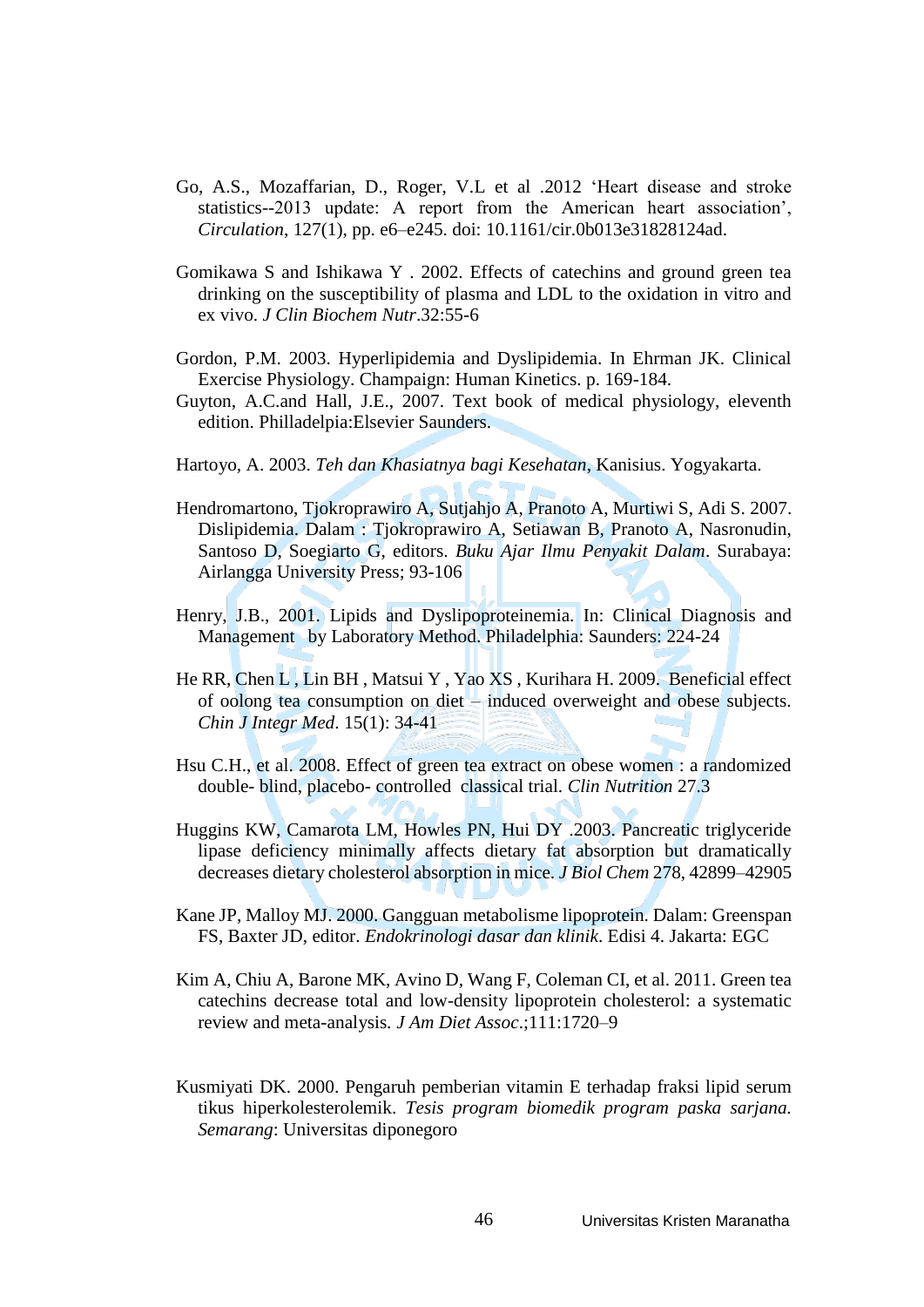- Go, A.S., Mozaffarian, D., Roger, V.L et al .2012 'Heart disease and stroke statistics--2013 update: A report from the American heart association', *Circulation*, 127(1), pp. e6–e245. doi: 10.1161/cir.0b013e31828124ad.
- Gomikawa S and Ishikawa Y . 2002. Effects of catechins and ground green tea drinking on the susceptibility of plasma and LDL to the oxidation in vitro and ex vivo. *J Clin Biochem Nutr*.32:55-6
- Gordon, P.M. 2003. Hyperlipidemia and Dyslipidemia. In Ehrman JK. Clinical Exercise Physiology. Champaign: Human Kinetics. p. 169-184.
- Guyton, A.C.and Hall, J.E., 2007. Text book of medical physiology, eleventh edition. Philladelpia:Elsevier Saunders.
- Hartoyo, A. 2003. *Teh dan Khasiatnya bagi Kesehatan*, Kanisius. Yogyakarta.
- Hendromartono, Tjokroprawiro A, Sutjahjo A, Pranoto A, Murtiwi S, Adi S. 2007. Dislipidemia. Dalam : Tjokroprawiro A, Setiawan B, Pranoto A, Nasronudin, Santoso D, Soegiarto G, editors. *Buku Ajar Ilmu Penyakit Dalam*. Surabaya: Airlangga University Press; 93-106
- Henry, J.B., 2001. Lipids and Dyslipoproteinemia. In: Clinical Diagnosis and Management by Laboratory Method. Philadelphia: Saunders: 224-24
- He RR, Chen L , Lin BH , Matsui Y , Yao XS , Kurihara H. 2009. Beneficial effect of oolong tea consumption on diet – induced overweight and obese subjects. *Chin J Integr Med*. 15(1): 34-41
- Hsu C.H., et al. 2008. Effect of green tea extract on obese women : a randomized double- blind, placebo- controlled classical trial. *Clin Nutrition* 27.3
- Huggins KW, Camarota LM, Howles PN, Hui DY .2003. Pancreatic triglyceride lipase deficiency minimally affects dietary fat absorption but dramatically decreases dietary cholesterol absorption in mice. *J Biol Chem* 278, 42899–42905
- Kane JP, Malloy MJ. 2000. Gangguan metabolisme lipoprotein. Dalam: Greenspan FS, Baxter JD, editor. *Endokrinologi dasar dan klinik*. Edisi 4. Jakarta: EGC
- Kim A, Chiu A, Barone MK, Avino D, Wang F, Coleman CI, et al. 2011. Green tea catechins decrease total and low-density lipoprotein cholesterol: a systematic review and meta-analysis*. J Am Diet Assoc*.;111:1720–9
- Kusmiyati DK. 2000. Pengaruh pemberian vitamin E terhadap fraksi lipid serum tikus hiperkolesterolemik. *Tesis program biomedik program paska sarjana. Semarang*: Universitas diponegoro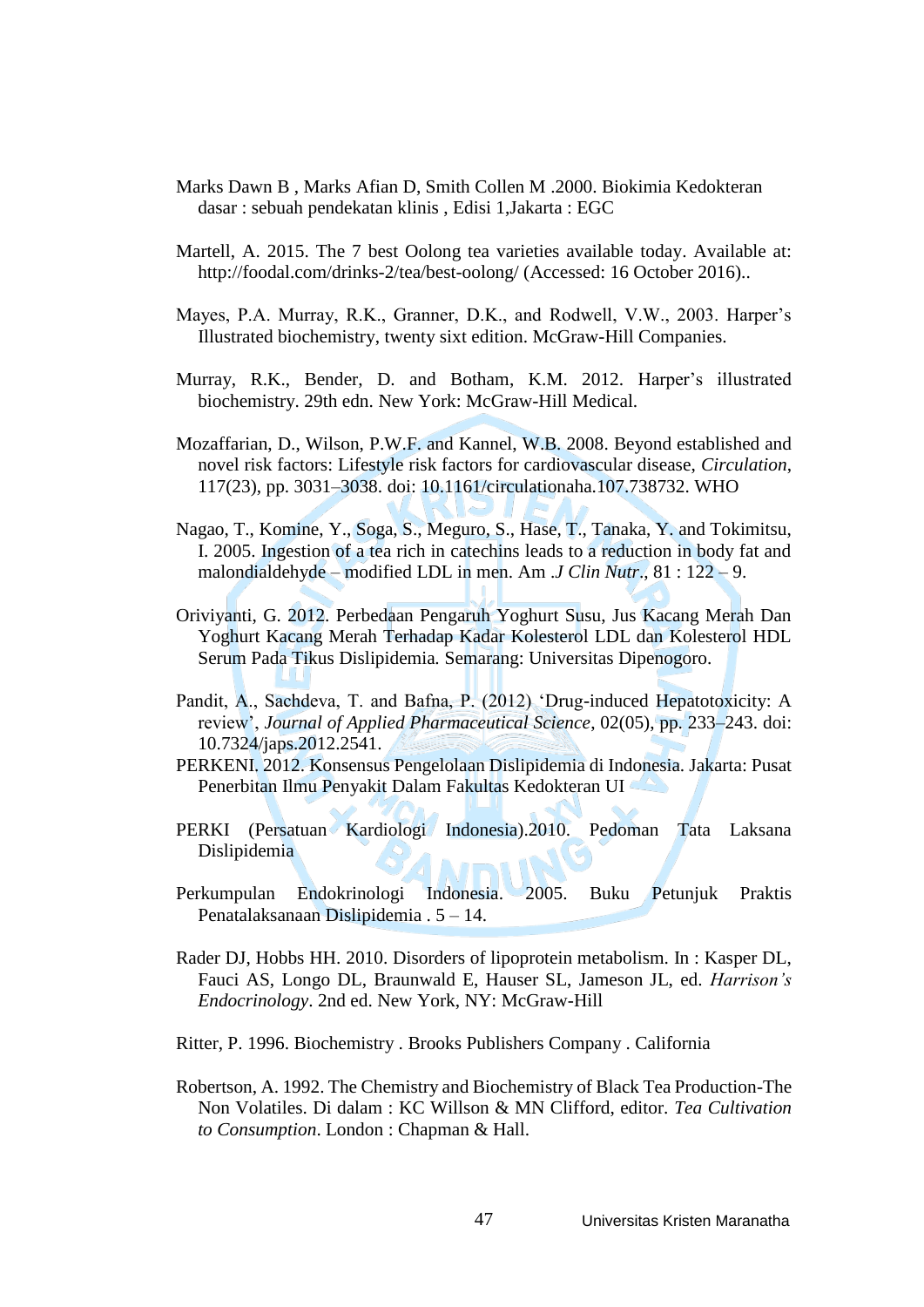- Marks Dawn B , Marks Afian D, Smith Collen M .2000. Biokimia Kedokteran dasar : sebuah pendekatan klinis , Edisi 1,Jakarta : EGC
- Martell, A. 2015. The 7 best Oolong tea varieties available today. Available at: http://foodal.com/drinks-2/tea/best-oolong/ (Accessed: 16 October 2016)..
- Mayes, P.A. Murray, R.K., Granner, D.K., and Rodwell, V.W., 2003. Harper's Illustrated biochemistry, twenty sixt edition. McGraw-Hill Companies.
- Murray, R.K., Bender, D. and Botham, K.M. 2012. Harper's illustrated biochemistry. 29th edn. New York: McGraw-Hill Medical.
- Mozaffarian, D., Wilson, P.W.F. and Kannel, W.B. 2008. Beyond established and novel risk factors: Lifestyle risk factors for cardiovascular disease, *Circulation*, 117(23), pp. 3031–3038. doi: 10.1161/circulationaha.107.738732. WHO
- Nagao, T., Komine, Y., Soga, S., Meguro, S., Hase, T., Tanaka, Y. and Tokimitsu, I. 2005. Ingestion of a tea rich in catechins leads to a reduction in body fat and malondialdehyde – modified LDL in men. Am .*J Clin Nutr*., 81 : 122 – 9.
- Oriviyanti, G. 2012. Perbedaan Pengaruh Yoghurt Susu, Jus Kacang Merah Dan Yoghurt Kacang Merah Terhadap Kadar Kolesterol LDL dan Kolesterol HDL Serum Pada Tikus Dislipidemia*.* Semarang: Universitas Dipenogoro.
- Pandit, A., Sachdeva, T. and Bafna, P. (2012) 'Drug-induced Hepatotoxicity: A review', *Journal of Applied Pharmaceutical Science*, 02(05), pp. 233–243. doi: 10.7324/japs.2012.2541.
- PERKENI. 2012. Konsensus Pengelolaan Dislipidemia di Indonesia*.* Jakarta: Pusat Penerbitan Ilmu Penyakit Dalam Fakultas Kedokteran UI
- PERKI (Persatuan Kardiologi Indonesia).2010. Pedoman Tata Laksana Dislipidemia
- Perkumpulan Endokrinologi Indonesia. 2005. Buku Petunjuk Praktis Penatalaksanaan Dislipidemia . 5 – 14.
- Rader DJ, Hobbs HH. 2010. Disorders of lipoprotein metabolism. In : Kasper DL, Fauci AS, Longo DL, Braunwald E, Hauser SL, Jameson JL, ed. *Harrison's Endocrinology*. 2nd ed. New York, NY: McGraw-Hill
- Ritter, P. 1996. Biochemistry . Brooks Publishers Company . California
- Robertson, A. 1992. The Chemistry and Biochemistry of Black Tea Production-The Non Volatiles. Di dalam : KC Willson & MN Clifford, editor. *Tea Cultivation to Consumption*. London : Chapman & Hall.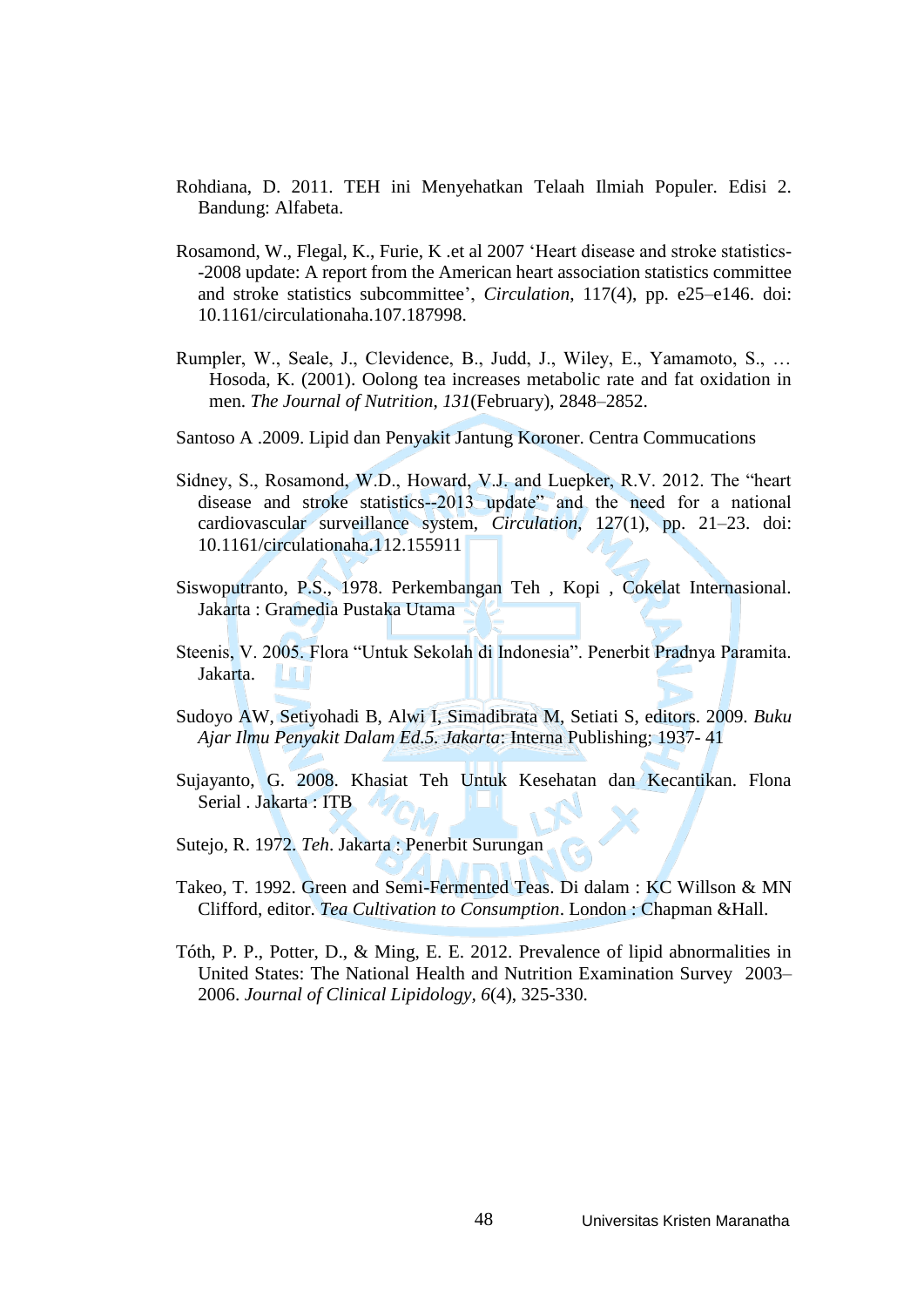- Rohdiana, D. 2011. TEH ini Menyehatkan Telaah Ilmiah Populer. Edisi 2. Bandung: Alfabeta.
- Rosamond, W., Flegal, K., Furie, K .et al 2007 'Heart disease and stroke statistics- -2008 update: A report from the American heart association statistics committee and stroke statistics subcommittee', *Circulation*, 117(4), pp. e25–e146. doi: 10.1161/circulationaha.107.187998.
- Rumpler, W., Seale, J., Clevidence, B., Judd, J., Wiley, E., Yamamoto, S., … Hosoda, K. (2001). Oolong tea increases metabolic rate and fat oxidation in men. *The Journal of Nutrition*, *131*(February), 2848–2852.
- Santoso A .2009. Lipid dan Penyakit Jantung Koroner. Centra Commucations
- Sidney, S., Rosamond, W.D., Howard, V.J. and Luepker, R.V. 2012. The "heart disease and stroke statistics--2013 update" and the need for a national cardiovascular surveillance system, *Circulation*, 127(1), pp. 21–23. doi: 10.1161/circulationaha.112.155911
- Siswoputranto, P.S., 1978. Perkembangan Teh , Kopi , Cokelat Internasional. Jakarta : Gramedia Pustaka Utama
- Steenis, V. 2005. Flora "Untuk Sekolah di Indonesia". Penerbit Pradnya Paramita. Jakarta. ...
- Sudoyo AW, Setiyohadi B, Alwi I, Simadibrata M, Setiati S, editors. 2009. *Buku Ajar Ilmu Penyakit Dalam Ed.5. Jakarta*: Interna Publishing; 1937- 41
- Sujayanto, G. 2008. Khasiat Teh Untuk Kesehatan dan Kecantikan. Flona Serial . Jakarta : ITB
- Sutejo, R. 1972. *Teh*. Jakarta : Penerbit Surungan
- Takeo, T. 1992. Green and Semi-Fermented Teas. Di dalam : KC Willson & MN Clifford, editor. *Tea Cultivation to Consumption*. London : Chapman &Hall.
- Tóth, P. P., Potter, D., & Ming, E. E. 2012. Prevalence of lipid abnormalities in United States: The National Health and Nutrition Examination Survey 2003– 2006. *Journal of Clinical Lipidology, 6*(4), 325-330.